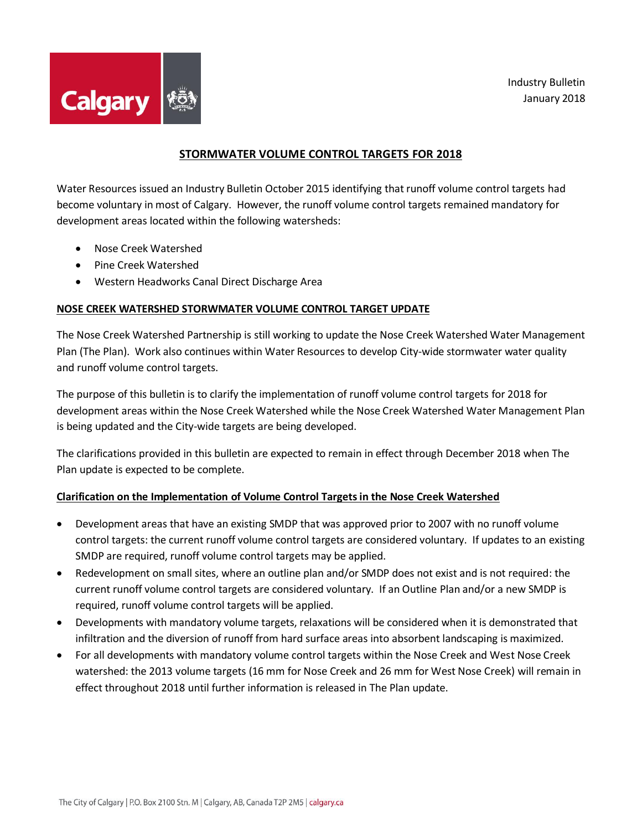



# **STORMWATER VOLUME CONTROL TARGETS FOR 2018**

Water Resources issued an Industry Bulletin October 2015 identifying that runoff volume control targets had become voluntary in most of Calgary. However, the runoff volume control targets remained mandatory for development areas located within the following watersheds:

- Nose Creek Watershed
- Pine Creek Watershed
- Western Headworks Canal Direct Discharge Area

# **NOSE CREEK WATERSHED STORWMATER VOLUME CONTROL TARGET UPDATE**

The Nose Creek Watershed Partnership is still working to update the Nose Creek Watershed Water Management Plan (The Plan). Work also continues within Water Resources to develop City-wide stormwater water quality and runoff volume control targets.

The purpose of this bulletin is to clarify the implementation of runoff volume control targets for 2018 for development areas within the Nose Creek Watershed while the Nose Creek Watershed Water Management Plan is being updated and the City-wide targets are being developed.

The clarifications provided in this bulletin are expected to remain in effect through December 2018 when The Plan update is expected to be complete.

# **Clarification on the Implementation of Volume Control Targets in the Nose Creek Watershed**

- Development areas that have an existing SMDP that was approved prior to 2007 with no runoff volume control targets: the current runoff volume control targets are considered voluntary. If updates to an existing SMDP are required, runoff volume control targets may be applied.
- Redevelopment on small sites, where an outline plan and/or SMDP does not exist and is not required: the current runoff volume control targets are considered voluntary. If an Outline Plan and/or a new SMDP is required, runoff volume control targets will be applied.
- Developments with mandatory volume targets, relaxations will be considered when it is demonstrated that infiltration and the diversion of runoff from hard surface areas into absorbent landscaping is maximized.
- For all developments with mandatory volume control targets within the Nose Creek and West Nose Creek watershed: the 2013 volume targets (16 mm for Nose Creek and 26 mm for West Nose Creek) will remain in effect throughout 2018 until further information is released in The Plan update.